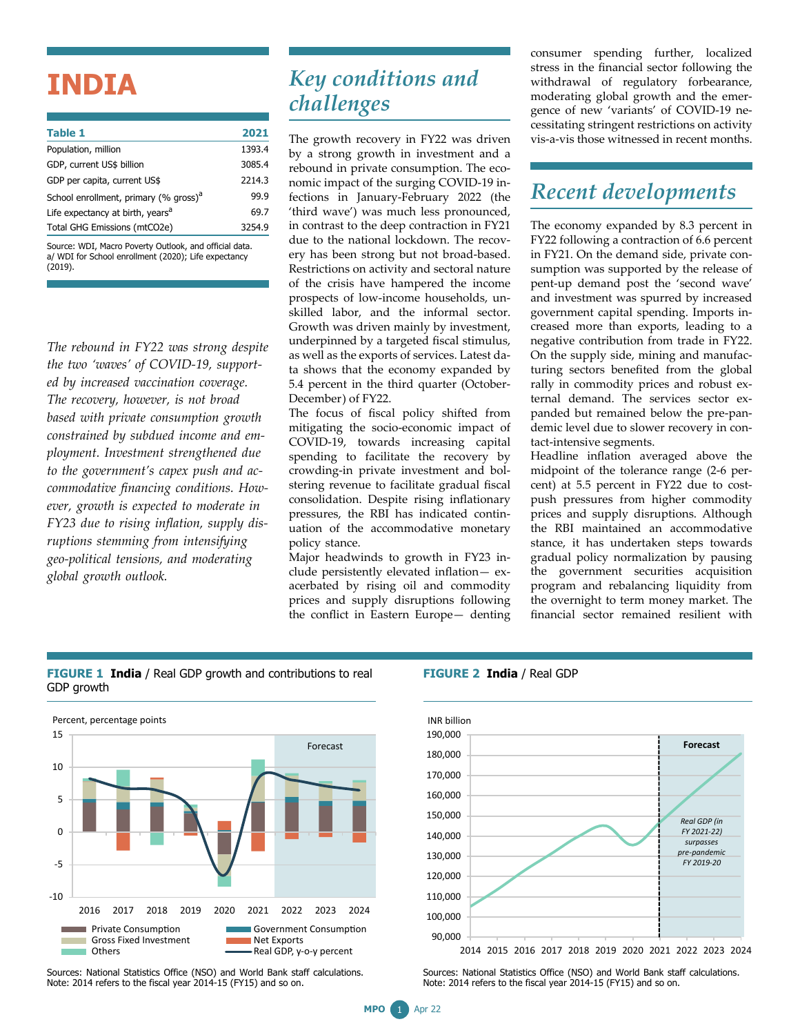# **INDIA**

| <b>Table 1</b>                                    | 2021   |
|---------------------------------------------------|--------|
| Population, million                               | 1393.4 |
| GDP, current US\$ billion                         | 3085.4 |
| GDP per capita, current US\$                      | 2214.3 |
| School enrollment, primary (% gross) <sup>a</sup> | 99.9   |
| Life expectancy at birth, years <sup>a</sup>      | 69.7   |
| Total GHG Emissions (mtCO2e)                      | 3254.9 |
|                                                   |        |

Source: WDI, Macro Poverty Outlook, and official data. a/ WDI for School enrollment (2020); Life expectancy (2019).

*The rebound in FY22 was strong despite the two 'waves' of COVID-19, supported by increased vaccination coverage. The recovery, however, is not broad based with private consumption growth constrained by subdued income and employment. Investment strengthened due to the government's capex push and accommodative financing conditions. However, growth is expected to moderate in FY23 due to rising inflation, supply disruptions stemming from intensifying geo-political tensions, and moderating global growth outlook.*

## *Key conditions and challenges*

The growth recovery in FY22 was driven by a strong growth in investment and a rebound in private consumption. The economic impact of the surging COVID-19 infections in January-February 2022 (the 'third wave') was much less pronounced, in contrast to the deep contraction in FY21 due to the national lockdown. The recovery has been strong but not broad-based. Restrictions on activity and sectoral nature of the crisis have hampered the income prospects of low-income households, unskilled labor, and the informal sector. Growth was driven mainly by investment, underpinned by a targeted fiscal stimulus, as well as the exports of services. Latest data shows that the economy expanded by 5.4 percent in the third quarter (October-December) of FY22.

The focus of fiscal policy shifted from mitigating the socio-economic impact of COVID-19, towards increasing capital spending to facilitate the recovery by crowding-in private investment and bolstering revenue to facilitate gradual fiscal consolidation. Despite rising inflationary pressures, the RBI has indicated continuation of the accommodative monetary policy stance.

Major headwinds to growth in FY23 include persistently elevated inflation— exacerbated by rising oil and commodity prices and supply disruptions following the conflict in Eastern Europe— denting consumer spending further, localized stress in the financial sector following the withdrawal of regulatory forbearance, moderating global growth and the emergence of new 'variants' of COVID-19 necessitating stringent restrictions on activity vis-a-vis those witnessed in recent months.

# *Recent developments*

The economy expanded by 8.3 percent in FY22 following a contraction of 6.6 percent in FY21. On the demand side, private consumption was supported by the release of pent-up demand post the 'second wave' and investment was spurred by increased government capital spending. Imports increased more than exports, leading to a negative contribution from trade in FY22. On the supply side, mining and manufacturing sectors benefited from the global rally in commodity prices and robust external demand. The services sector expanded but remained below the pre-pandemic level due to slower recovery in contact-intensive segments.

Headline inflation averaged above the midpoint of the tolerance range (2-6 percent) at 5.5 percent in FY22 due to costpush pressures from higher commodity prices and supply disruptions. Although the RBI maintained an accommodative stance, it has undertaken steps towards gradual policy normalization by pausing the government securities acquisition program and rebalancing liquidity from the overnight to term money market. The financial sector remained resilient with

#### **FIGURE 1 India** / Real GDP growth and contributions to real GDP growth



Sources: National Statistics Office (NSO) and World Bank staff calculations. Note: 2014 refers to the fiscal year 2014-15 (FY15) and so on.





2014 2015 2016 2017 2018 2019 2020 2021 2022 2023 2024

Sources: National Statistics Office (NSO) and World Bank staff calculations. Note: 2014 refers to the fiscal year 2014-15 (FY15) and so on.